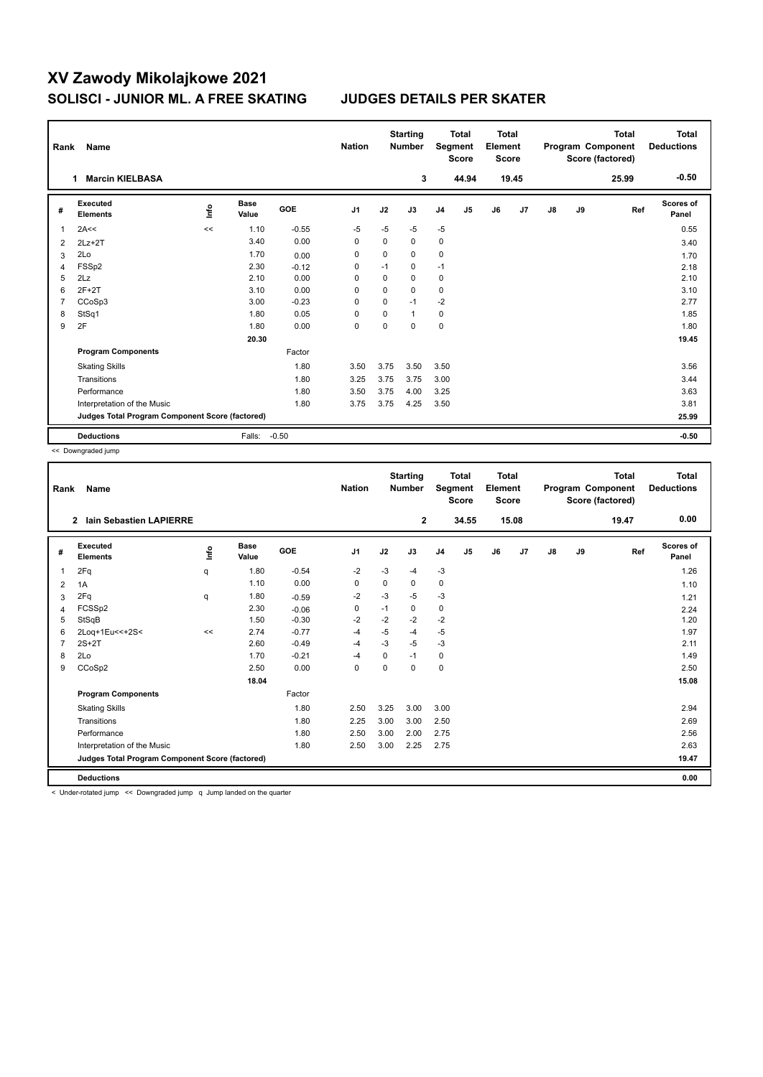## **XV Zawody Mikolajkowe 2021 SOLISCI - JUNIOR ML. A FREE SKATING JUDGES DETAILS PER SKATER**

| Rank           | Name                                            |       |                      |            | <b>Nation</b>  |          | <b>Starting</b><br><b>Number</b> |                | <b>Total</b><br>Segment<br><b>Score</b> | <b>Total</b><br>Element<br>Score |                |    |    | <b>Total</b><br>Program Component<br>Score (factored) | Total<br><b>Deductions</b> |
|----------------|-------------------------------------------------|-------|----------------------|------------|----------------|----------|----------------------------------|----------------|-----------------------------------------|----------------------------------|----------------|----|----|-------------------------------------------------------|----------------------------|
|                | <b>Marcin KIELBASA</b><br>1.                    |       |                      |            |                |          | 3                                |                | 44.94                                   |                                  | 19.45          |    |    | 25.99                                                 | $-0.50$                    |
| #              | Executed<br><b>Elements</b>                     | Linfo | <b>Base</b><br>Value | <b>GOE</b> | J <sub>1</sub> | J2       | J3                               | J <sub>4</sub> | J5                                      | J6                               | J <sub>7</sub> | J8 | J9 | Ref                                                   | Scores of<br>Panel         |
| 1              | 2A<<                                            | <<    | 1.10                 | $-0.55$    | $-5$           | $-5$     | $-5$                             | $-5$           |                                         |                                  |                |    |    |                                                       | 0.55                       |
| $\overline{2}$ | $2Lz+2T$                                        |       | 3.40                 | 0.00       | 0              | 0        | 0                                | 0              |                                         |                                  |                |    |    |                                                       | 3.40                       |
| 3              | 2Lo                                             |       | 1.70                 | 0.00       | $\Omega$       | $\Omega$ | $\Omega$                         | 0              |                                         |                                  |                |    |    |                                                       | 1.70                       |
| 4              | FSSp2                                           |       | 2.30                 | $-0.12$    | 0              | $-1$     | 0                                | $-1$           |                                         |                                  |                |    |    |                                                       | 2.18                       |
| 5              | 2Lz                                             |       | 2.10                 | 0.00       | $\Omega$       | 0        | $\Omega$                         | 0              |                                         |                                  |                |    |    |                                                       | 2.10                       |
| 6              | $2F+2T$                                         |       | 3.10                 | 0.00       | $\Omega$       | $\Omega$ | $\Omega$                         | $\mathbf 0$    |                                         |                                  |                |    |    |                                                       | 3.10                       |
| 7              | CCoSp3                                          |       | 3.00                 | $-0.23$    | 0              | 0        | $-1$                             | $-2$           |                                         |                                  |                |    |    |                                                       | 2.77                       |
| 8              | StSq1                                           |       | 1.80                 | 0.05       | $\Omega$       | $\Omega$ | $\mathbf{1}$                     | $\mathbf 0$    |                                         |                                  |                |    |    |                                                       | 1.85                       |
| 9              | 2F                                              |       | 1.80                 | 0.00       | 0              | $\Omega$ | $\Omega$                         | $\mathbf 0$    |                                         |                                  |                |    |    |                                                       | 1.80                       |
|                |                                                 |       | 20.30                |            |                |          |                                  |                |                                         |                                  |                |    |    |                                                       | 19.45                      |
|                | <b>Program Components</b>                       |       |                      | Factor     |                |          |                                  |                |                                         |                                  |                |    |    |                                                       |                            |
|                | <b>Skating Skills</b>                           |       |                      | 1.80       | 3.50           | 3.75     | 3.50                             | 3.50           |                                         |                                  |                |    |    |                                                       | 3.56                       |
|                | Transitions                                     |       |                      | 1.80       | 3.25           | 3.75     | 3.75                             | 3.00           |                                         |                                  |                |    |    |                                                       | 3.44                       |
|                | Performance                                     |       |                      | 1.80       | 3.50           | 3.75     | 4.00                             | 3.25           |                                         |                                  |                |    |    |                                                       | 3.63                       |
|                | Interpretation of the Music                     |       |                      | 1.80       | 3.75           | 3.75     | 4.25                             | 3.50           |                                         |                                  |                |    |    |                                                       | 3.81                       |
|                | Judges Total Program Component Score (factored) |       |                      |            |                |          |                                  |                |                                         |                                  |                |    |    |                                                       | 25.99                      |
|                | <b>Deductions</b>                               |       | Falls:               | $-0.50$    |                |          |                                  |                |                                         |                                  |                |    |    |                                                       | $-0.50$                    |

<< Downgraded jump

| Rank | <b>Name</b>                                     |      |                      |         | <b>Nation</b>  |             | <b>Starting</b><br><b>Number</b> | Segment        | <b>Total</b><br><b>Score</b> | <b>Total</b><br>Element<br><b>Score</b> |       |               |    | <b>Total</b><br>Program Component<br>Score (factored) | <b>Total</b><br><b>Deductions</b> |
|------|-------------------------------------------------|------|----------------------|---------|----------------|-------------|----------------------------------|----------------|------------------------------|-----------------------------------------|-------|---------------|----|-------------------------------------------------------|-----------------------------------|
|      | lain Sebastien LAPIERRE<br>$\overline{2}$       |      |                      |         |                |             | $\overline{2}$                   |                | 34.55                        |                                         | 15.08 |               |    | 19.47                                                 | 0.00                              |
| #    | Executed<br><b>Elements</b>                     | lnfo | <b>Base</b><br>Value | GOE     | J <sub>1</sub> | J2          | J3                               | J <sub>4</sub> | J5                           | J6                                      | J7    | $\mathsf{J}8$ | J9 | Ref                                                   | <b>Scores of</b><br>Panel         |
| 1    | 2Fq                                             | q    | 1.80                 | $-0.54$ | $-2$           | $-3$        | $-4$                             | $-3$           |                              |                                         |       |               |    |                                                       | 1.26                              |
| 2    | 1A                                              |      | 1.10                 | 0.00    | 0              | 0           | 0                                | 0              |                              |                                         |       |               |    |                                                       | 1.10                              |
| 3    | 2Fq                                             | q    | 1.80                 | $-0.59$ | $-2$           | -3          | $-5$                             | $-3$           |                              |                                         |       |               |    |                                                       | 1.21                              |
| 4    | FCSSp2                                          |      | 2.30                 | $-0.06$ | 0              | $-1$        | 0                                | 0              |                              |                                         |       |               |    |                                                       | 2.24                              |
| 5    | StSqB                                           |      | 1.50                 | $-0.30$ | $-2$           | $-2$        | $-2$                             | $-2$           |                              |                                         |       |               |    |                                                       | 1.20                              |
| 6    | 2Loq+1Eu<<+2S<                                  | <<   | 2.74                 | $-0.77$ | $-4$           | $-5$        | $-4$                             | $-5$           |                              |                                         |       |               |    |                                                       | 1.97                              |
| 7    | $2S+2T$                                         |      | 2.60                 | $-0.49$ | $-4$           | $-3$        | $-5$                             | $-3$           |                              |                                         |       |               |    |                                                       | 2.11                              |
| 8    | 2Lo                                             |      | 1.70                 | $-0.21$ | $-4$           | $\mathbf 0$ | $-1$                             | $\mathbf 0$    |                              |                                         |       |               |    |                                                       | 1.49                              |
| 9    | CCoSp2                                          |      | 2.50                 | 0.00    | 0              | 0           | $\Omega$                         | $\mathbf 0$    |                              |                                         |       |               |    |                                                       | 2.50                              |
|      |                                                 |      | 18.04                |         |                |             |                                  |                |                              |                                         |       |               |    |                                                       | 15.08                             |
|      | <b>Program Components</b>                       |      |                      | Factor  |                |             |                                  |                |                              |                                         |       |               |    |                                                       |                                   |
|      | <b>Skating Skills</b>                           |      |                      | 1.80    | 2.50           | 3.25        | 3.00                             | 3.00           |                              |                                         |       |               |    |                                                       | 2.94                              |
|      | Transitions                                     |      |                      | 1.80    | 2.25           | 3.00        | 3.00                             | 2.50           |                              |                                         |       |               |    |                                                       | 2.69                              |
|      | Performance                                     |      |                      | 1.80    | 2.50           | 3.00        | 2.00                             | 2.75           |                              |                                         |       |               |    |                                                       | 2.56                              |
|      | Interpretation of the Music                     |      |                      | 1.80    | 2.50           | 3.00        | 2.25                             | 2.75           |                              |                                         |       |               |    |                                                       | 2.63                              |
|      | Judges Total Program Component Score (factored) |      |                      |         |                |             |                                  |                |                              |                                         |       |               |    |                                                       | 19.47                             |
|      | <b>Deductions</b>                               |      |                      |         |                |             |                                  |                |                              |                                         |       |               |    |                                                       | 0.00                              |

< Under-rotated jump << Downgraded jump q Jump landed on the quarter